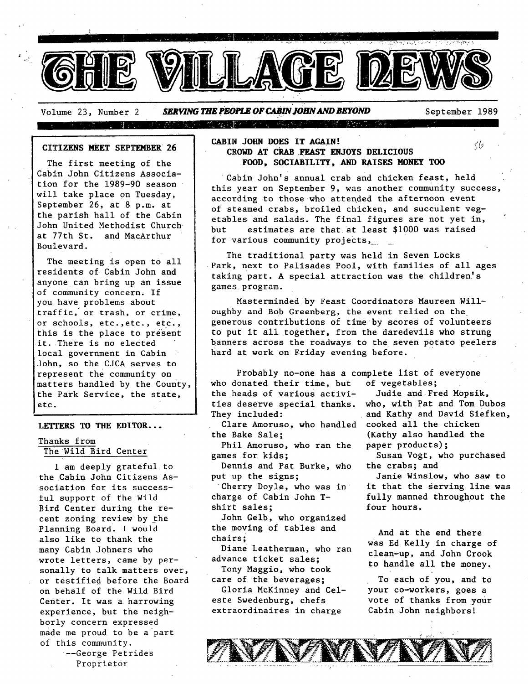

Volume 23, Number 2 **SERVING THE PEOPLE OF CABIN JOHN AND BEYOND** September 1989 di provincia dell'India 

#### **CITIZENS MEET SEPTEMBER 26**

The first meeting of the Cabin John Citizens Association for the 1989-90 season will take place on Tuesday, September 26, at 8 p.m. at the parish hall of the Cabin John United Methodist Church at 77th St. and MacArthur Boulevard.

The meeting is open to all residents of Cabin John and anyone can bring up an issue of community concern. If you have problems about traffic, or trash, or crime, or schools, etc.,etc., etc., this is the place to present it. There is no elected local government in Cabin John, so the CJCA serves to represent the community on matters handled by the county, the Park Service, the state, etc.

#### **LETTERS TO THE EDITOR...**

Thanks from The Wild Bird Center

I am deeply grateful to the Cabin John Citizens Association for its successful support of the Wild Bird Center during the recent zoning review by the Planning Board. I would also like to thank the many Cabin Johners who wrote letters, came by personally to talk matters over, or testified before the Board on behalf of the Wild Bird Center. It was a harrowing experience, but the neighborly concern expressed made me proud to be a part of this community.

--George Petrides Proprietor

## **CABIN JOHN DOES IT AGAIN!**  $\langle \phi \rangle$ **CROWD AT CRAB.FEAST ENJOYS DELICIOUS FOOD, SOCIABILITY, AND RAISES MONEY** TOO

Cabin John's annual crab and chicken feast, held this year on September 9, was another community success, according to those who attended the afternoon event of steamed crabs, broiled chicken, and succulent vegetables and salads. The final figures are not yet in, but estimates are that at least  $$1000$  was raised for various community projects,

The traditional party was held in Seven Locks Park, next to Palisades Pool, with families of all ages taking part. A special attraction was the children's games program.

Masterminded by Feast Coordinators Maureen Willoughby and Bob Greenberg, the event relied on the generous contributions of time by scores of volunteers to put it all together, from the daredevils who strung banners across the roadways to the seven potato peelers hard at work on Friday evening before.

Probably no-one has a complete list of everyone who donated their time, but of vegetables; the heads of various activi- Judie and Fred Mopsik, ties deserve special thanks, who, with Pat and Tom Dubos They included: and Kathy and David Siefken,

the Bake Sale;

Phil Amoruso, who ran the games for kids;

Dennis and Pat Burke, who put up the signs;

Cherry Doyle, who was in charge of Cabin John Tshirt sales;

John Gelb, who organized the moving of tables and chairs;

Diane Leatherman, who ran advance ticket sales;

Tony Maggio, who took care of the beverages;

Gloria McKinney and Celeste Swedenburg, chefs extraordinaires in charge

Clare Amoruso, who handled cooked all the chicken (Kathy also handled the paper products);

Susan Vogt, who purchased the crabs; and

Janie Winslow, who saw to it that the serving line was fully manned throughout the four hours.

And at the end there Was Ed Kelly in charge of clean-up, and John Crook to handle all the money.

To each of you, and to your co-workers, goes a vote of thanks from your Cabin John neighbors]

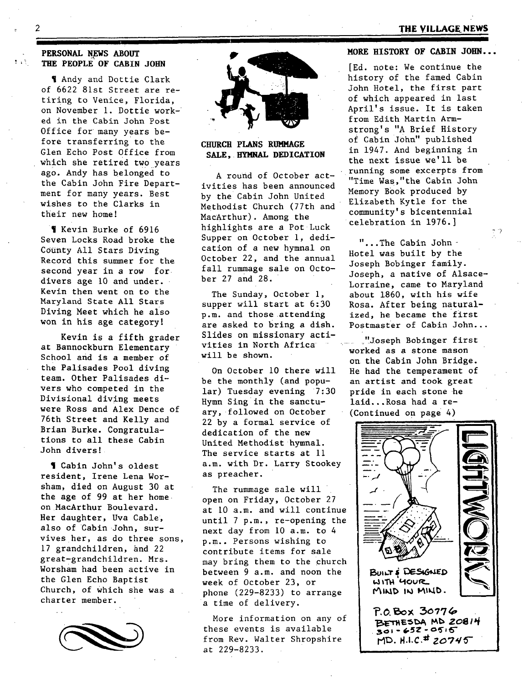# **2 THE VILLAGE NEWS**

## **PERSONAL NEWS ABOUT THE PEOPLE OF CABIN JOHN**

¶ Andy and Dottie Clark of 6622 81st Street are retiring to Venice, Florida, on November 1. Dottie worked in the Cabin John Post Office for many Years before transferring to the Glen Echo Post Office from which she retired two years ago. Andy has belonged to the Cabin John Fire Department for many years. Best wishes to the Clarks in their new home!

¶ Kevin Burke of 6916 Seven Locks Road broke the County All Stars Diving Record this summer for the second year in a row for. divers age i0 and under. Kevin then went on to the Maryland State All Stars Diving Meet which he also won in his age category!

Kevin is a fifth grader at Bannockburn Elementary School and is a member of the Palisades Pool diving team. Other Palisades divers who competed in the Divisional diving meets were Ross and Alex Dence of 76th Street and Kelly and Brian Burke. Congratulations to all these Cabin John divers!

¶ Cabin John's oldest resident, Irene Lena Worsham, died on August 30 at the age of 99 at her home on MacArthur Boulevard. Her daughter, Uva Cable, also of Cabin John, survives her, as do three sons, 17 grandchildren, and 22 great-grandchildren. Mrs. Worsham had been active in the Glen Echo Baptist Church, of Which she was a charter member.





**CHURCH PLANS RUMMAGE** SALE. **HYMNAL DEDICATION** 

A round of October activities has been announced by the Cabin John United Methodist Church (77th and MacArthur). Among the highlights are a Pot Luck Supper on October i, dedication of a new hymnal on October 22, and the annual fall rummage sale on October 27 and 28.

The Sunday, October 1, supper will start at 6:30 p.m. and those attending are asked to bring a dish. Slides on missionary activities in North Africa will be shown.

On October I0 there will be the monthly (and popular) Tuesday evening 7:30 Hymn Sing in the sanctuary, followed on October 22 by a formal service of dedication of the new United Methodist hymnal. The service starts at Ii a.m. with Dr. Larry Stookey as preacher.

The rummage sale will open on Friday, October 27 at i0 a.m. and will continue until 7 p.m., re-opening the next day from I0 a.m. to 4 p.m.. Persons wishing to contribute items for sale may bring them to the church between 9 a.m. and noon the week of October 23, or phone (229-8233) to arrange a time of delivery.

More information on any of these events is available from Rev. Walter Shropshire at 229-8233.

## **MORE HISTORY OF CABIN JOHN...**

[Ed. note: We continue the history of the famed Cabin John Hotel, the first part of which appeared in last April's issue. It is taken from Edith Martin Armstrong's "A Brief History of Cabin JOhn" published in 1947. And beginning in the next issue we'll be running some excerpts from "Time Was,"the Cabin John Memory Book produced by Elizabeth Kytle for the community's bicentennial celebration in 1976.]

"...The Cabin John-Hotel was built by the Joseph Bobinger family. Joseph, a native of Alsace-Lorraine, came to Maryland about 1860, with his wife Rosa. After being naturalized, he became the first Postmaster of Cabin John...

"Joseph Bobinger first worked as a stone mason on the Cabin John Bridge. He had the temperament of an artist and took great pride in each stone he laid...Rosa had a re- (Continued on page 4



あなぎり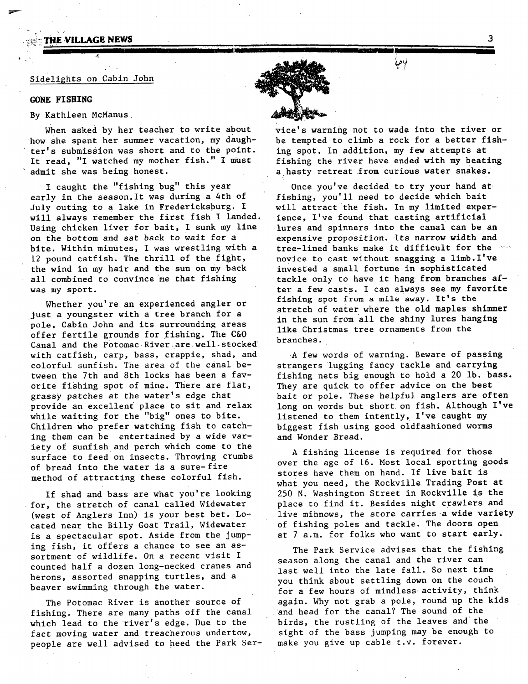## THE VILLAGE NEWS

#### Sidelights on Cabin John

#### **GONE FISHING**

#### By Kathleen McManus

When asked by her teacher to write about how She spent her summer vacation, my daughter's submission was short and to the point. It read, "I watched my mother fish." I must admit she was being honest.

**II'lllll** i' I I P

I caught the "fishing bug" this year early in the season. It was during a 4th of July outing to a lake in Fredericksburg. I will always remember the first fish I landed. Using chicken liver for bait, I sunk my line on the bottom and sat back to wait for a bite. Within minutes, I was wrestling with a 12 pound catfish. The thrill of the fight, the wind in my hair and the sun on my back all combined to convince me that fishing was my sport.

Whether you're an experienced angler or just a youngster with a tree branch for a pole, Cabin John and its surrounding areas offer fertile grounds for fishing. The C&O Canal and the Potomac River are well stocked with catfish, carp, bass, crappie, shad, and colorful sunfish. The area of the canal between the 7th and 8th locks has been a favorite fishing spot of mine. There are flat, grassy patches at the water's edge that provide an exceilent place to sit and relax while waiting for the "big" ones to bite. Children Who prefer watching fish to catching them can be entertained by a wide variety of sunfish and perch which come to the surface to feed on insects. Throwing crumbs of bread into the water is a sure-fire method of attracting these colorful fish.

If shad and bass are what you're looking for, the stretch of canal called Widewater (west of Anglers Inn) is *your* best bet. Located near the Billy Goat Trail, Widewater is a spectacular spot. Aside from the jumping fish, it offers a chance to see an assortment of wildlife, on a recent visit I counted half a dozen long-necked cranes and herons, assorted snapping turtles, and a beaver swimming through the water.

The Potomac River is another source of fishing. There are many paths off the canal which lead to the river's edge. Due to the fact moving water and treacherous undertow, people are well advised to heed the Park Setvice's warning not to wade into the river or be tempted to climb a rock for a better fishing spot. In addition, my few attempts at fishing the river have ended with my beating a hasty retreat from curious water snakes.

**li**  ا فاھ لا

Once you've decided to try your hand at fishing, you'll need to decide which bait will attract the fish. In my limited experience, I've found that casting artificial lures and spinners into the canal can be an expensive proposition. Its narrow width and tree-lined banks make it difficult for the  $\sim$ novice to cast without snagging a limb. I've invested a small fortune in sophisticated tackle only to have it hang from branches after a few casts. I can always see my favorite fishing spot from a mile away. It's the stretch of water where the old maples shimmer in the sun from all the shiny lures hanging like Christmas tree ornaments from the branches.

A few words of warning. Beware of passing strangers lugging fancy tackle and carrying fishing nets big enough to hold a 20 lb. bass. They are quick to offer advice on the best bait or pole. These helpful anglers are often long on words but short on fish. Although I've listened to them intently, I've caught my biggest fish using good oldfashioned worms and Wonder Bread.

A fishing license is required for those over the age of 16. Most local sporting goods stores have them on hand. If live bait is what you need, the Rockville Trading Post at 250 N. Washington Street in Rockville is the place to find it. Besides night crawlers and live minnows, the store carries a wide variety of fishing poles and tackle. The doors open at 7 a.m. for folks who want to start early.

The Park Service advises that the fishing season along the canal and the river can last well into the late fall. So next time you think about settling down on the couch for a few hours of mindless activity, think again. Why not grab a pole, round up the kids and head for the canal? The sound of the birds, the rustling of the leaves and the sight of the bass jumping may be enough to make you give up cable t.v. forever.

3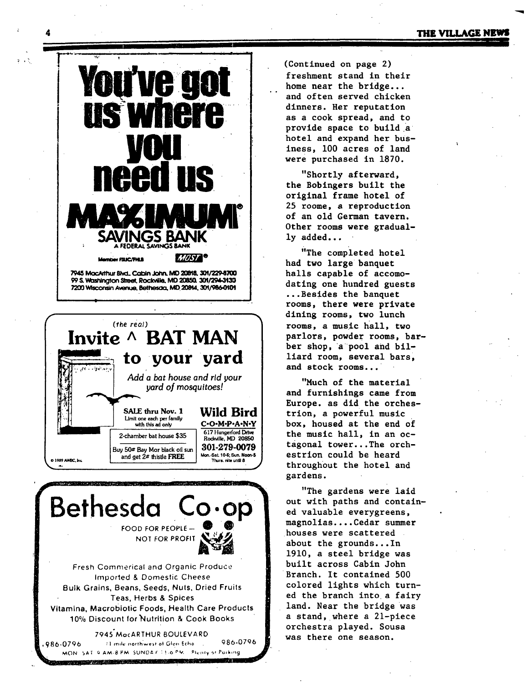



Bethesda FOOD FOR PEOPLE-NOT FOR PROFIT Fresh Commerical and Organic Produce **Imported & Domestic Cheese** Bulk Grains, Beans, Seeds, Nuts, Dried Fruits Teas, Herbs & Spices Vitamina, Macrobiotic Foods, Health Care Products 10% Discount for Nutrition & Cook Books

7945 MacARTHUR BOULEVARD 986-0796 11 mile northwest of Glen Echo 986-0796 MON SAT 9 AM-8 PM SUNDAY 11-6 PM. Plenty of Parking **PERMIT AND INCOME. TO ANY OR THE UNITS** 

(Continued on page 2) freshment stand in their home near the bridge... and often served chicken dinners. Her reputation as a cook spread, and to provide space to build a hotel and expand her business. 100 acres of land were purchased in 1870.

"Shortly afterward, the Bobingers built the original frame hotel of 25 roome, a reproduction of an old German tavern. Other rooms were gradually added...

"The completed hotel had two large banquet halls capable of accomodating one hundred guests ...Besides the banquet rooms, there were private dining rooms, two lunch rooms, a music hall, two parlors, powder rooms, barber shop, a pool and billiard room, several bars, and stock rooms...

"Much of the material and furnishings came from Europe. as did the orchestrion, a powerful music box, housed at the end of the music hall, in an octagonal tower...The orchestrion could be heard throughout the hotel and gardens.

"The gardens were laid out with paths and contained valuable everygreens, magnolias....Cedar summer houses were scattered. about the grounds...In 1910, a steel bridge was built across Cabin John Branch. It contained 500 colored lights which turned the branch into a fairy land. Near the bridge was a stand, where a 21-piece orchestra played. Sousa was there one season.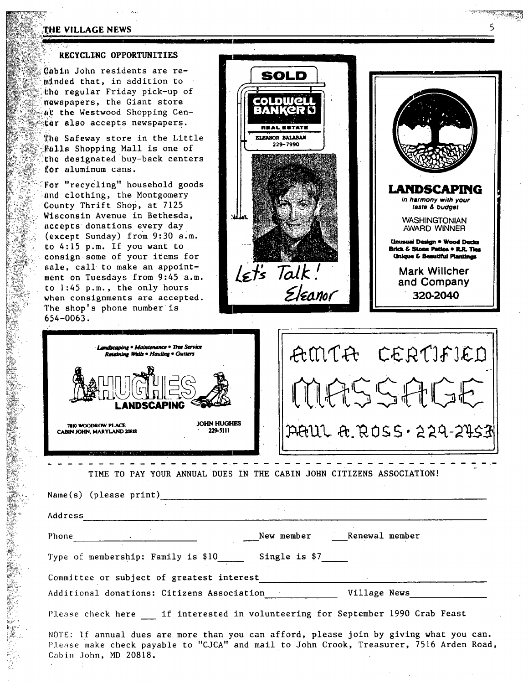## THE VILLAGE NEWS

## , RECYCLING OPPORTUNITIES

 $@$ abin John residents are reminded that, in addition to the regular Friday pick-up of newapapers, the Giant store at the Westwood Shopping Cen-:<br>**:er also accepts newspapers.** 

The Safeway store in the Little Falls Shopping Mall is one of the designated buy-back centers for aluminum cans.

For "recycling" household goods and clothing, the Montgomery County Thrift Shop, at 7125 Wisconsin Avenue in Bethesda, **accepts donations every day**<br>(**except Sunday) from 9:30 a.**<br>(except Sunday) from 9:30 a.<br>(except to 4:15 p.m. If you want to (except Sunday) from 9:30 a.m. to 4:15 p.m. If you want to consign some of your items for sale, call to make an appointment on Tuesdays 'from 9:45 a.m. to 1:45 p.m., the only hours when consignments are accepted. The shop's phone number is 654-0063.

 $\mathbb{R}^{n-1}$ 

U.-

qo: f-





| Retaining Walls . Hauling . Gutters<br>NDSCAPING                                   | AMTA CERTIFIED                                                        |
|------------------------------------------------------------------------------------|-----------------------------------------------------------------------|
| <b>JOHN HUGHES</b><br>7810 WOODROW PLACE<br>229-5111<br>CABIN JOHN, MARYLAND 20818 | $ \mathcal{P}\mathcal{A}U\cup \mathcal{A}, \mathcal{R}$ 055.224-24531 |

TIME TO PAY YOUR ANNUAL DUES IN THE CABIN JOHN cITIZENS ASSOCIATION!

| Name(s) (please print)                           |                                                                                                                                                                                   |
|--------------------------------------------------|-----------------------------------------------------------------------------------------------------------------------------------------------------------------------------------|
| Address                                          |                                                                                                                                                                                   |
| Phone $\qquad \qquad$                            | New member Renewal member                                                                                                                                                         |
| Type of membership: Family is \$10 Single is \$7 |                                                                                                                                                                                   |
| Committee or subject of greatest interest        |                                                                                                                                                                                   |
| Additional donations: Citizens Association       | Village News                                                                                                                                                                      |
|                                                  | Please check here if interested in volunteering for September 1990 Crab Feast                                                                                                     |
| Cabin John, MD 20818.                            | NOTE: If annual dues are more than you can afford, please join by giving what you can.<br>Please make check payable to "CJCA" and mail to John Crook, Treasurer, 7516 Arden Road, |